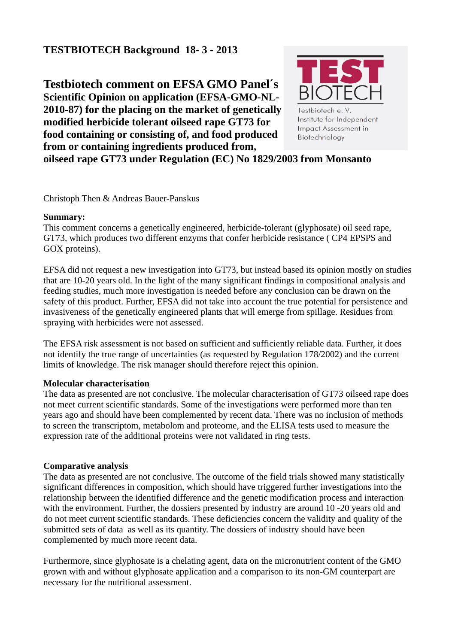# **TESTBIOTECH Background 18- 3 - 2013**

**Testbiotech comment on EFSA GMO Panel´s Scientific Opinion on application (EFSA-GMO-NL-2010-87) for the placing on the market of genetically modified herbicide tolerant oilseed rape GT73 for food containing or consisting of, and food produced from or containing ingredients produced from,**



Testbiotech e. V. Institute for Independent **Impact Assessment in** Biotechnology

**oilseed rape GT73 under Regulation (EC) No 1829/2003 from Monsanto**

Christoph Then & Andreas Bauer-Panskus

### **Summary:**

This comment concerns a genetically engineered, herbicide-tolerant (glyphosate) oil seed rape, GT73, which produces two different enzyms that confer herbicide resistance ( CP4 EPSPS and GOX proteins).

EFSA did not request a new investigation into GT73, but instead based its opinion mostly on studies that are 10-20 years old. In the light of the many significant findings in compositional analysis and feeding studies, much more investigation is needed before any conclusion can be drawn on the safety of this product. Further, EFSA did not take into account the true potential for persistence and invasiveness of the genetically engineered plants that will emerge from spillage. Residues from spraying with herbicides were not assessed.

The EFSA risk assessment is not based on sufficient and sufficiently reliable data. Further, it does not identify the true range of uncertainties (as requested by Regulation 178/2002) and the current limits of knowledge. The risk manager should therefore reject this opinion.

# **Molecular characterisation**

The data as presented are not conclusive. The molecular characterisation of GT73 oilseed rape does not meet current scientific standards. Some of the investigations were performed more than ten years ago and should have been complemented by recent data. There was no inclusion of methods to screen the transcriptom, metabolom and proteome, and the ELISA tests used to measure the expression rate of the additional proteins were not validated in ring tests.

# **Comparative analysis**

The data as presented are not conclusive. The outcome of the field trials showed many statistically significant differences in composition, which should have triggered further investigations into the relationship between the identified difference and the genetic modification process and interaction with the environment. Further, the dossiers presented by industry are around 10 -20 years old and do not meet current scientific standards. These deficiencies concern the validity and quality of the submitted sets of data as well as its quantity. The dossiers of industry should have been complemented by much more recent data.

Furthermore, since glyphosate is a chelating agent, data on the micronutrient content of the GMO grown with and without glyphosate application and a comparison to its non-GM counterpart are necessary for the nutritional assessment.